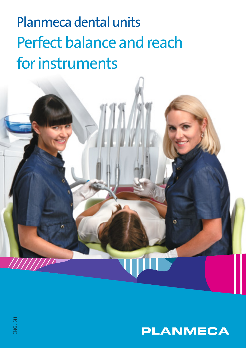## Planmeca dental units Perfect balance and reach for instruments



ö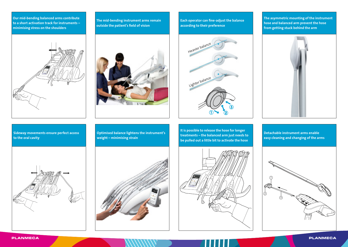**Our mid-bending balanced arms contribute to a short activation track for instruments – minimising stress on the shoulders**



**The mid-bending instrument arms remain outside the patient's field of vision** 



**Each operator can fine-adjust the balance according to their preference**



**The asymmetric mounting of the instrument hose and balanced arm prevent the hose from getting stuck behind the arm**



**Sideway movements ensure perfect access to the oral cavity**

**Optimised balance lightens the instrument's weight – minimising strain**

**It is possible to release the hose for longer treatments – the balanced arm just needs to be pulled out a little bit to activate the hose**



**Detachable instrument arms enable easy cleaning and changing of the arms**